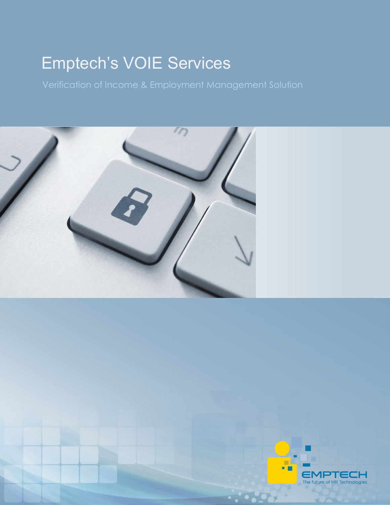# Emptech's VOIE Services



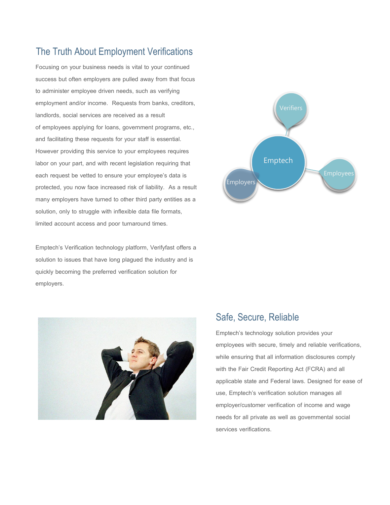# The Truth About Employment Verifications

Focusing on your business needs is vital to your continued success but often employers are pulled away from that focus to administer employee driven needs, such as verifying employment and/or income. Requests from banks, creditors, landlords, social services are received as a result of employees applying for loans, government programs, etc., and facilitating these requests for your staff is essential. However providing this service to your employees requires labor on your part, and with recent legislation requiring that each request be vetted to ensure your employee's data is protected, you now face increased risk of liability. As a result many employers have turned to other third party entities as a solution, only to struggle with inflexible data file formats, limited account access and poor turnaround times.

Emptech's Verification technology platform, Verifyfast offers a solution to issues that have long plagued the industry and is quickly becoming the preferred verification solution for employers.





#### Safe, Secure, Reliable

Emptech's technology solution provides your employees with secure, timely and reliable verifications, while ensuring that all information disclosures comply with the Fair Credit Reporting Act (FCRA) and all applicable state and Federal laws. Designed for ease of use, Emptech's verification solution manages all employer/customer verification of income and wage needs for all private as well as governmental social services verifications.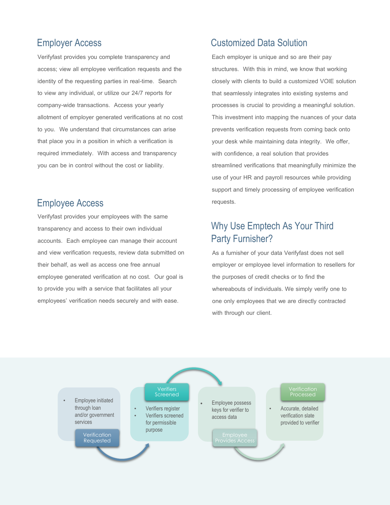## Employer Access

Verifyfast provides you complete transparency and access; view all employee verification requests and the identity of the requesting parties in real-time. Search to view any individual, or utilize our 24/7 reports for company-wide transactions. Access your yearly allotment of employer generated verifications at no cost to you. We understand that circumstances can arise that place you in a position in which a verification is required immediately. With access and transparency you can be in control without the cost or liability.

#### Employee Access

Verifyfast provides your employees with the same transparency and access to their own individual accounts. Each employee can manage their account and view verification requests, review data submitted on their behalf, as well as access one free annual employee generated verification at no cost. Our goal is to provide you with a service that facilitates all your employees' verification needs securely and with ease.

## Customized Data Solution

Each employer is unique and so are their pay structures. With this in mind, we know that working closely with clients to build a customized VOIE solution that seamlessly integrates into existing systems and processes is crucial to providing a meaningful solution. This investment into mapping the nuances of your data prevents verification requests from coming back onto your desk while maintaining data integrity. We offer, with confidence, a real solution that provides streamlined verifications that meaningfully minimize the use of your HR and payroll resources while providing support and timely processing of employee verification requests.

# Why Use Emptech As Your Third Party Furnisher?

As a furnisher of your data Verifyfast does not sell employer or employee level information to resellers for the purposes of credit checks or to find the whereabouts of individuals. We simply verify one to one only employees that we are directly contracted with through our client.